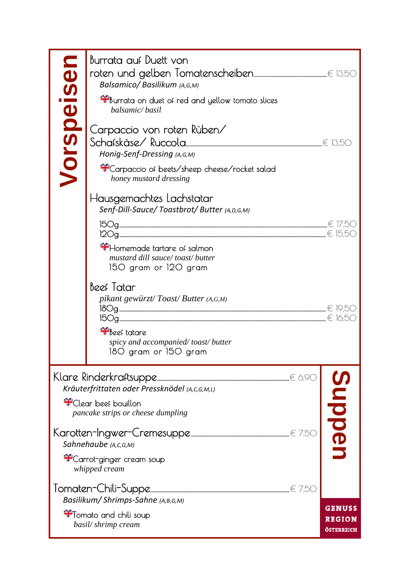|            | Burrata auf Duett von<br>Balsamico/Basilikum (A,G,M)<br>**Burrata on duet of red and yellow tomato slices                                                       |                                |
|------------|-----------------------------------------------------------------------------------------------------------------------------------------------------------------|--------------------------------|
| Vorspeisen | balsamic/basil<br>Carpaccio von roten Rüben/<br>Honig-Senf-Dressing (A,G,M)<br>*Carpaccio of beets/sheep cheese/rocket salad<br>honey mustard dressing          |                                |
|            | Hausgemachtes Lachstatar<br>Senf-Dill-Sauce/Toastbrot/Butter (A,D,G,M)<br>Homemade tartare of salmon<br>mustard dill sauce/toast/butter<br>150 gram or 120 gram |                                |
|            | Beef Tatar<br>pikant gewürzt/Toast/Butter (A,G,M)<br>Steef tatare<br>spicy and accompanied/toast/butter<br>180 gram or 150 gram                                 |                                |
|            | Kräuterfrittaten oder Pressknödel (A,C,G,M,L)<br>Sect bouillon                                                                                                  |                                |
|            | pancake strips or cheese dumpling<br>Sahnehaube (A,C,G,M)<br><sup>s</sup> Carrot-ginger cream soup<br>whipped cream                                             | nbbel                          |
|            | Basilikum/Shrimps-Sahne (A,B,G,M)<br>Tomato and chili soup<br>basil/shrimp cream                                                                                | <b>GENUSS</b><br><b>REGION</b> |
|            |                                                                                                                                                                 | ÖSTERREICH                     |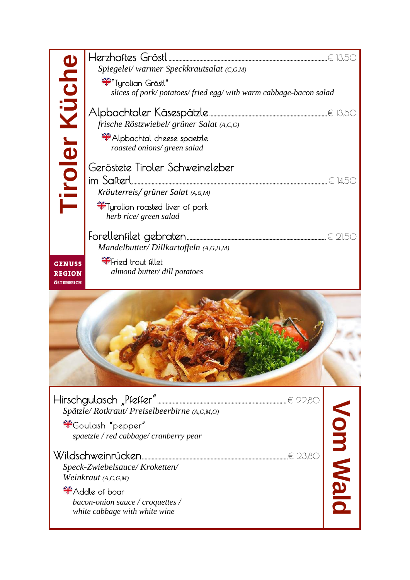|                      | Spiegelei/warmer Speckkrautsalat (C,G,M)                        |          |
|----------------------|-----------------------------------------------------------------|----------|
|                      | ***Tyrolian Gröstl"                                             |          |
|                      | slices of pork/potatoes/fried egg/with warm cabbage-bacon salad |          |
|                      |                                                                 |          |
|                      | frische Röstzwiebel/ grüner Salat (A,C,G)                       |          |
| <b>Tiroler Küche</b> | Alpbachtal cheese spaetzle                                      |          |
|                      | roasted onions/ green salad                                     |          |
|                      | Geröstete Tiroler Schweineleber                                 |          |
|                      | im Safterl.                                                     |          |
|                      | Kräuterreis/ grüner Salat (A,G,M)                               |          |
|                      | Tyrolian roasted liver of pork                                  |          |
|                      | herb rice/ green salad                                          |          |
|                      |                                                                 |          |
|                      | Mandelbutter/Dillkartoffeln (A,G,H,M)                           |          |
| <b>GENUSS</b>        | Fried trout fillet                                              |          |
| <b>REGION</b>        | almond butter/ dill potatoes                                    |          |
| ÖSTERREICH           |                                                                 |          |
|                      |                                                                 |          |
|                      |                                                                 |          |
|                      |                                                                 |          |
|                      |                                                                 |          |
|                      |                                                                 |          |
|                      |                                                                 |          |
|                      |                                                                 |          |
|                      |                                                                 |          |
|                      |                                                                 |          |
|                      |                                                                 |          |
|                      | Spätzle/Rotkraut/Preiselbeerbirne (A,G,M,O)                     |          |
|                      | *Goulash "pepper"<br>spaetzle / red cabbage/ cranberry pear     |          |
|                      |                                                                 |          |
|                      | € 23.80                                                         |          |
|                      | Speck-Zwiebelsauce/Kroketten/<br>Weinkraut (A,C,G,M)            |          |
|                      | *Addle of boar                                                  |          |
|                      | bacon-onion sauce / croquettes /                                |          |
|                      | white cabbage with white wine                                   | Vom Walc |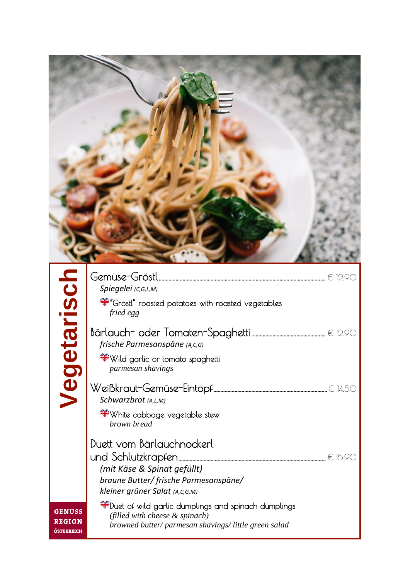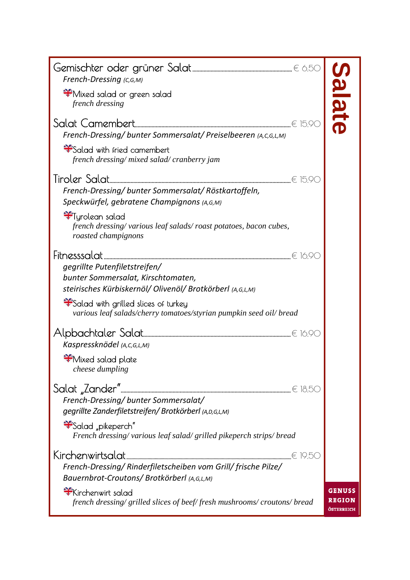| French-Dressing (C,G,M)                                                                                          |                             |
|------------------------------------------------------------------------------------------------------------------|-----------------------------|
| े Mixed salad or green salad<br>french dressing                                                                  | late                        |
| French-Dressing/ bunter Sommersalat/ Preiselbeeren (A,C,G,L,M)                                                   |                             |
| Salad with fried camembert<br>french dressing/mixed salad/cranberry jam                                          |                             |
|                                                                                                                  |                             |
| French-Dressing/bunter Sommersalat/Röstkartoffeln,<br>Speckwürfel, gebratene Champignons (A,G,M)                 |                             |
| *Tyrolean salad<br>french dressing/various leaf salads/roast potatoes, bacon cubes,<br>roasted champignons       |                             |
|                                                                                                                  |                             |
| gegrillte Putenfiletstreifen/                                                                                    |                             |
| bunter Sommersalat, Kirschtomaten,                                                                               |                             |
| steirisches Kürbiskernöl/ Olivenöl/ Brotkörberl (A,G,L,M)                                                        |                             |
| Salad with grilled slices of turkey<br>various leaf salads/cherry tomatoes/styrian pumpkin seed oil/ bread       |                             |
|                                                                                                                  |                             |
| Kaspressknödel (A, C, G, L, M)                                                                                   |                             |
| Mixed salad plate<br>cheese dumpling                                                                             |                             |
| Salat "Zander"…<br>French-Dressing/ bunter Sommersalat/<br>gegrillte Zanderfiletstreifen/Brotkörberl (A,D,G,L,M) |                             |
| "Salad "pikeperch"<br>French dressing/various leaf salad/grilled pikeperch strips/bread                          |                             |
| Kirchenwirtsalat                                                                                                 |                             |
| French-Dressing/ Rinderfiletscheiben vom Grill/ frische Pilze/                                                   |                             |
| Bauernbrot-Croutons/Brotkörberl (A,G,L,M)                                                                        |                             |
| Kirchenwirt salad                                                                                                | GENUSS                      |
| french dressing/grilled slices of beef/fresh mushrooms/croutons/bread                                            | <b>REGION</b><br>ÖSTERREICH |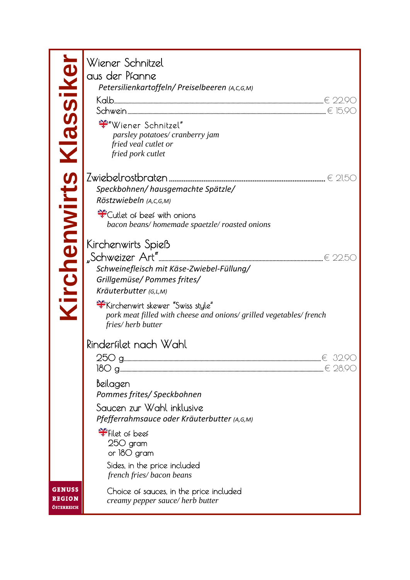| Kirchenwirts Klassiker                | Wiener Schnitzel<br>aus der Pfanne<br>Petersilienkartoffeln/ Preiselbeeren (A,C,G,M)<br>Wiener Schnitzel"<br>parsley potatoes/ cranberry jam<br>fried veal cutlet or<br>fried pork cutlet                                                                |
|---------------------------------------|----------------------------------------------------------------------------------------------------------------------------------------------------------------------------------------------------------------------------------------------------------|
|                                       | Speckbohnen/hausgemachte Spätzle/<br>Röstzwiebeln (A,C,G,M)<br><sup>*</sup> Cutlet of beef with onions<br>bacon beans/homemade spaetzle/roasted onions                                                                                                   |
|                                       | Kirchenwirts Spieß<br>Schweinefleisch mit Käse-Zwiebel-Füllung/<br>Grillgemüse/ Pommes frites/<br>Kräuterbutter (G,L,M)<br>*Kirchenwirt skewer "Swiss style"<br>pork meat filled with cheese and onions/ grilled vegetables/ french<br>fries/herb butter |
|                                       | Rinderfilet nach Wahl<br>250 a.<br>$\in$ 32.90<br><br>$\in 28.90$<br>Beilagen<br>Pommes frites/ Speckbohnen<br>Saucen zur Wahl inklusive<br>Pfefferrahmsauce oder Kräuterbutter (A,G,M)<br>Filet of beef<br>250 gram                                     |
| <b>GENUSS</b><br>REGION<br>ÖSTERREICH | or 180 gram<br>Sides, in the price included<br>french fries/bacon beans<br>Choice of sauces, in the price included<br>creamy pepper sauce/herb butter                                                                                                    |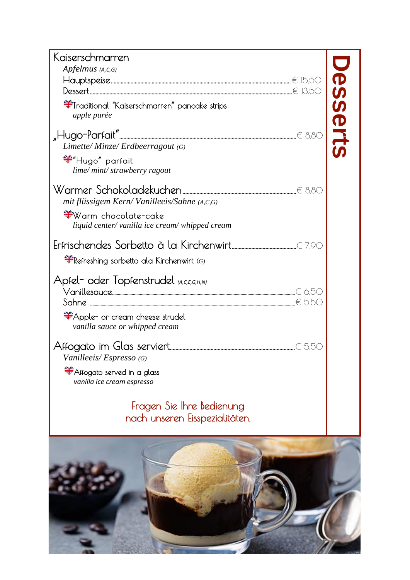| Kaiserschmarren                                                                     |                                                     |
|-------------------------------------------------------------------------------------|-----------------------------------------------------|
| Apfelmus (A,C,G)                                                                    |                                                     |
|                                                                                     | $\boldsymbol{\Phi}$                                 |
| <sup>syfer</sup> Traditional "Kaiserschmarren" pancake strips<br>apple purée        | $\boldsymbol{\omega}$<br>$\boldsymbol{\mathcal{G}}$ |
|                                                                                     | <b>Orts</b>                                         |
| Limette/Minze/Erdbeerragout (G)                                                     |                                                     |
| <del>¥</del> "Hugo" parfait<br>lime/mint/strawberry ragout                          |                                                     |
| mit flüssigem Kern/Vanilleeis/Sahne (A,C,G)                                         |                                                     |
| <del>ः</del> Warm chocolate-cake<br>liquid center/ vanilla ice cream/ whipped cream |                                                     |
|                                                                                     |                                                     |
| $\frac{1}{2}$ Refreshing sorbetto ala Kirchenwirt (G)                               |                                                     |
| Apfel- oder Topfenstrudel <sub>(А.С.Е.G,H,N)</sub>                                  |                                                     |
| Apple- or cream cheese strudel<br>vanilla sauce or whipped cream                    |                                                     |
| Vanilleeis/Espresso (G)                                                             |                                                     |
| Affogato served in a glass<br>vanilla ice cream espresso                            |                                                     |
| Fragen Sie Ihre Bedienung<br>nach unseren Eisspezialitäten.                         |                                                     |
|                                                                                     |                                                     |